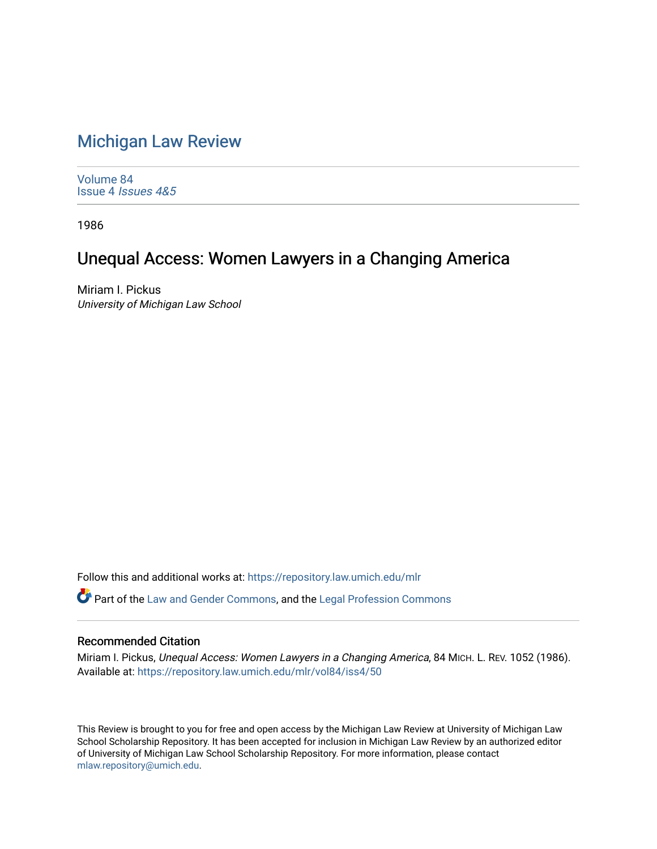## [Michigan Law Review](https://repository.law.umich.edu/mlr)

[Volume 84](https://repository.law.umich.edu/mlr/vol84) Issue 4 [Issues 4&5](https://repository.law.umich.edu/mlr/vol84/iss4) 

1986

## Unequal Access: Women Lawyers in a Changing America

Miriam I. Pickus University of Michigan Law School

Follow this and additional works at: [https://repository.law.umich.edu/mlr](https://repository.law.umich.edu/mlr?utm_source=repository.law.umich.edu%2Fmlr%2Fvol84%2Fiss4%2F50&utm_medium=PDF&utm_campaign=PDFCoverPages) 

Part of the [Law and Gender Commons,](http://network.bepress.com/hgg/discipline/1298?utm_source=repository.law.umich.edu%2Fmlr%2Fvol84%2Fiss4%2F50&utm_medium=PDF&utm_campaign=PDFCoverPages) and the [Legal Profession Commons](http://network.bepress.com/hgg/discipline/1075?utm_source=repository.law.umich.edu%2Fmlr%2Fvol84%2Fiss4%2F50&utm_medium=PDF&utm_campaign=PDFCoverPages) 

## Recommended Citation

Miriam I. Pickus, Unequal Access: Women Lawyers in a Changing America, 84 MICH. L. REV. 1052 (1986). Available at: [https://repository.law.umich.edu/mlr/vol84/iss4/50](https://repository.law.umich.edu/mlr/vol84/iss4/50?utm_source=repository.law.umich.edu%2Fmlr%2Fvol84%2Fiss4%2F50&utm_medium=PDF&utm_campaign=PDFCoverPages) 

This Review is brought to you for free and open access by the Michigan Law Review at University of Michigan Law School Scholarship Repository. It has been accepted for inclusion in Michigan Law Review by an authorized editor of University of Michigan Law School Scholarship Repository. For more information, please contact [mlaw.repository@umich.edu.](mailto:mlaw.repository@umich.edu)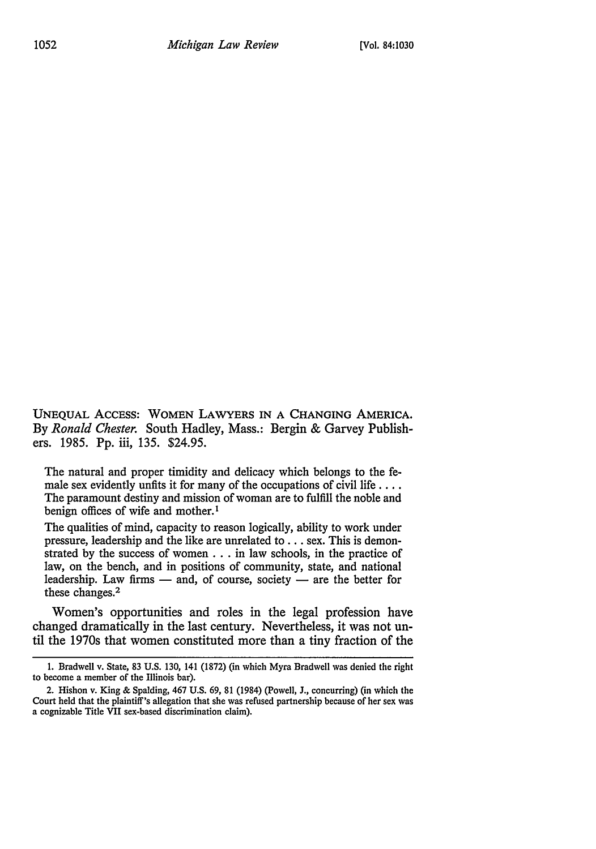UNEQUAL ACCESS: WOMEN LAWYERS IN A CHANGING AMERICA. By *Ronald Chester.* South Hadley, Mass.: Bergin & Garvey Publishers. 1985. Pp. iii, 135. \$24.95.

The natural and proper timidity and delicacy which belongs to the female sex evidently unfits it for many of the occupations of civil life  $\dots$ . The paramount destiny and mission of woman are to fulfill the noble and benign offices of wife and mother.<sup>1</sup>

The qualities of mind, capacity to reason logically, ability to work under pressure, leadership and the like are unrelated to ... sex. This is demonstrated by the success of women ... in law schools, in the practice of law, on the bench, and in positions of community, state, and national leadership. Law firms  $-$  and, of course, society  $-$  are the better for these changes. 2

Women's opportunities and roles in the legal profession have changed dramatically in the last century. Nevertheless, it was not until the 1970s that women constituted more than a tiny fraction of the

<sup>1.</sup> Bradwell v. State, 83 U.S. 130, 141 (1872) (in which Myra Bradwell was denied the right to become a member of the Illinois bar).

<sup>2.</sup> Hishon v. King & Spalding, 467 U.S. 69, 81 (1984) (Powell, J., concurring) (in which the Court held that the plaintiff's allegation that she was refused partnership because of her sex was a cognizable Title VII sex-based discrimination claim).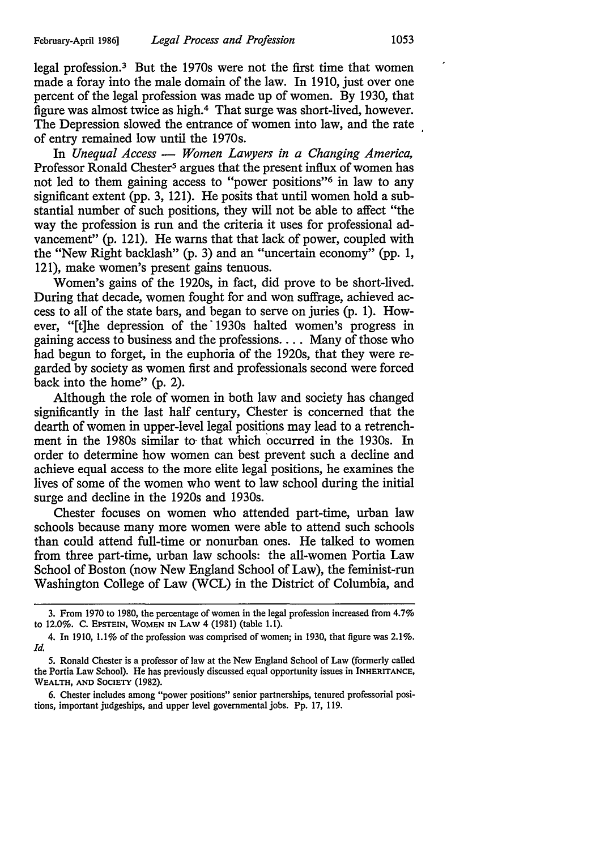legal profession.3 But the 1970s were not the first time that women made a foray into the male domain of the law. In 1910, just over one percent of the legal profession was made up of women. By 1930, that figure was almost twice as high.4 That surge was short-lived, however. The Depression slowed the entrance of women into law, and the rate of entry remained low until the 1970s.

In *Unequal Access* - *Women Lawyers in a Changing America*, Professor Ronald Chester<sup>5</sup> argues that the present influx of women has not led to them gaining access to "power positions"6 in law to any significant extent (pp. 3, 121). He posits that until women hold a substantial number of such positions, they will not be able to affect "the way the profession is run and the criteria it uses for professional advancement" (p. 121). He warns that that lack of power, coupled with the "New Right backlash" (p. 3) and an "uncertain economy" (pp. 1, 121), make women's present gains tenuous.

Women's gains of the 1920s, in fact, did prove to be short-lived. During that decade, women fought for and won suffrage, achieved access to all of the state bars, and began to serve on juries (p. 1). However, "It the depression of the 1930s halted women's progress in gaining access to business and the professions.  $\dots$  Many of those who had begun to forget, in the euphoria of the 1920s, that they were regarded by society as women first and professionals second were forced back into the home" (p. 2).

Although the role of women in both law and society has changed significantly in the last half century, Chester is concerned that the dearth of women in upper-level legal positions may lead to a retrenchment in the 1980s similar to that which occurred in the 1930s. In order to determine how women can best prevent such a decline and achieve equal access to the more elite legal positions, he examines the lives of some of the women who went to law school during the initial surge and decline in the 1920s and 1930s.

Chester focuses on women who attended part-time, urban law schools because many more women were able to attend such schools than could attend full-time or nonurban ones. He talked to women from three part-time, urban law schools: the all-women Portia Law School of Boston (now New England School of Law), the feminist-run Washington College of Law (WCL) in the District of Columbia, and

<sup>3.</sup> From 1970 to 1980, the percentage of women in the legal profession increased from 4.7% to 12.0%. c. EPSTEIN, WOMEN IN LAW 4 (1981) (table 1.1).

<sup>4.</sup> In 1910, 1.1% of the profession was comprised of women; in 1930, that figure was  $2.1\%$ . *Id.* 

<sup>5.</sup> Ronald Chester is a professor of law at the New England School of Law (formerly called the Portia Law School). He has previously discussed equal opportunity issues in INHERITANCE, WEALTH, AND SOCIETY (1982).

<sup>6.</sup> Chester includes among "power positions" senior partnerships, tenured professorial positions, important judgeships, and upper level governmental jobs. Pp. 17, 119.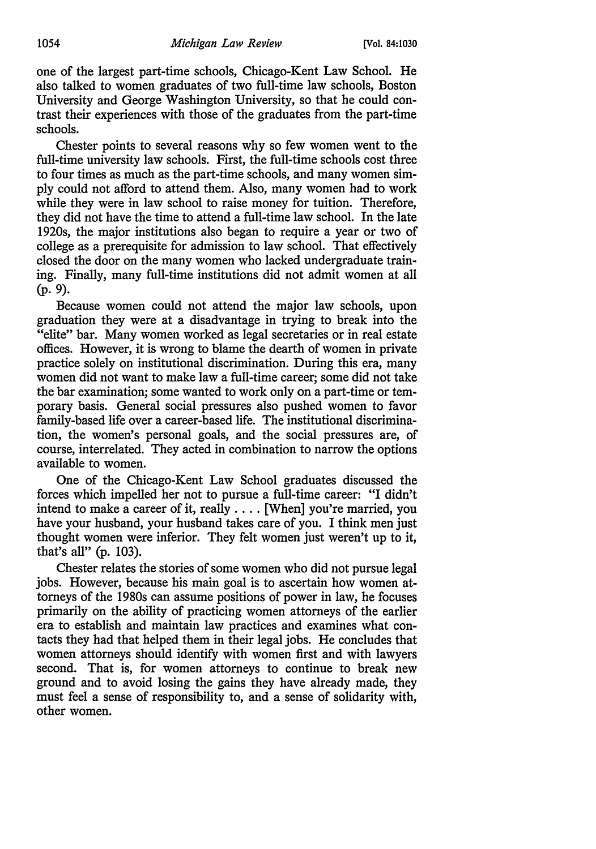one of the largest part-time schools, Chicago-Kent Law School. He also talked to women graduates of two full-time law schools, Boston University and George Washington University, so that he could contrast their experiences with those of the graduates from the part-time schools.

Chester points to several reasons why so few women went to the full-time university law schools. First, the full-time schools cost three to four times as much as the part-time schools, and many women simply could not afford to attend them. Also, many women had to work while they were in law school to raise money for tuition. Therefore, they did not have the time to attend a full-time law school. In the late 1920s, the major institutions also began to require a year or two of college as a prerequisite for admission to law school. That effectively closed the door on the many women who lacked undergraduate training. Finally, many full-time institutions did not admit women at all (p. 9).

Because women could not attend the major law schools, upon graduation they were at a disadvantage in trying to break into the "elite" bar. Many women worked as legal secretaries or in real estate offices. However, it is wrong to blame the dearth of women in private practice solely on institutional discrimination. During this era, many women did not want to make law a full-time career; some did not take the bar examination; some wanted to work only on a part-time or temporary basis. General social pressures also pushed women to favor family-based life over a career-based life. The institutional discrimination, the women's personal goals, and the social pressures are, of course, interrelated. They acted in combination to narrow the options available to women.

One of the Chicago-Kent Law School graduates discussed the forces which impelled her not to pursue a full-time career: "I didn't intend to make a career of it, really .... [When] you're married, you have your husband, your husband takes care of you. I think men just thought women were inferior. They felt women just weren't up to it, that's all" (p. 103).

Chester relates the stories of some women who did not pursue legal jobs. However, because his main goal is to ascertain how women attorneys of the 1980s can assume positions of power in law, he focuses primarily on the ability of practicing women attorneys of the earlier era to establish and maintain law practices and examines what contacts they had that helped them in their legal jobs. He concludes that women attorneys should identify with women first and with lawyers second. That is, for women attorneys to continue to break new ground and to avoid losing the gains they have already made, they must feel a sense of responsibility to, and a sense of solidarity with, other women.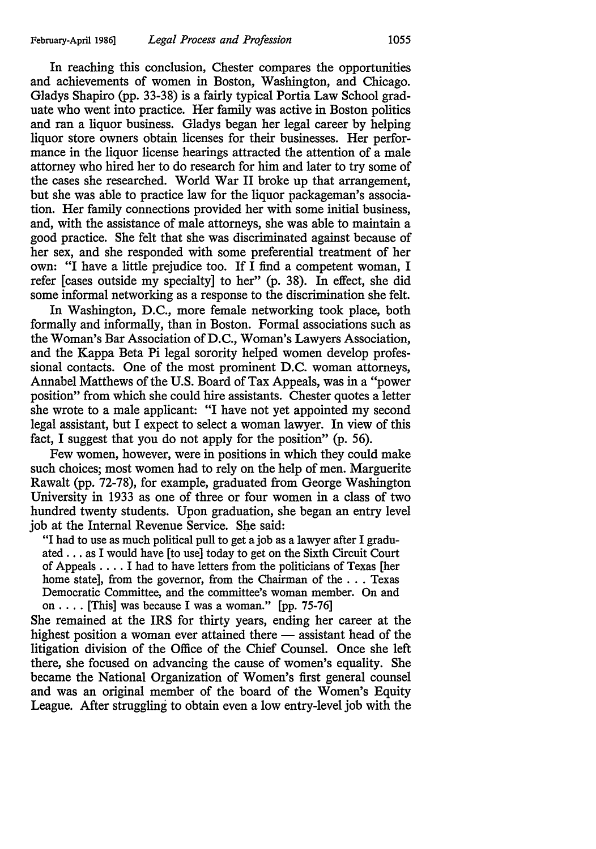In reaching this conclusion, Chester compares the opportunities and achievements of women in Boston, Washington, and Chicago. Gladys Shapiro (pp. 33-38) is a fairly typical Portia Law School graduate who went into practice. Her family was active in Boston politics and ran a liquor business. Gladys began her legal career by helping liquor store owners obtain licenses for their businesses. Her performance in the liquor license hearings attracted the attention of a male attorney who hired her to do research for him and later to try some of the cases she researched. World War II broke up that arrangement, but she was able to practice law for the liquor packageman's association. Her family connections provided her with some initial business, and, with the assistance of male attorneys, she was able to maintain a good practice. She felt that she was discriminated against because of her sex, and she responded with some preferential treatment of her own: "I have a little prejudice too. If  $\hat{I}$  find a competent woman, I refer [cases outside my specialty] to her" (p. 38). In effect, she did some informal networking as a response to the discrimination she felt.

In Washington, D.C., more female networking took place, both formally and informally, than in Boston. Formal associations such as the Woman's Bar Association ofD.C., Woman's Lawyers Association, and the Kappa Beta Pi legal sorority helped women develop professional contacts. One of the most prominent D.C. woman attorneys, Annabel Matthews of the U.S. Board of Tax Appeals, was in a "power position" from which she could hire assistants. Chester quotes a letter she wrote to a male applicant: "I have not yet appointed my second legal assistant, but I expect to select a woman lawyer. In view of this fact, I suggest that you do not apply for the position" (p. 56).

Few women, however, were in positions in which they could make such choices; most women had to rely on the help of men. Marguerite Rawalt (pp. 72-78), for example, graduated from George Washington University in 1933 as one of three or four women in a class of two hundred twenty students. Upon graduation, she began an entry level job at the Internal Revenue Service. She said:

"I had to use as much political pull to get a job as a lawyer after I graduated ... as I would have [to use] today to get on the Sixth Circuit Court of Appeals .... I had to have letters from the politicians of Texas [her home state], from the governor, from the Chairman of the ... Texas Democratic Committee, and the committee's woman member. On and on .... [This] was because I was a woman." [pp. 75-76]

She remained at the IRS for thirty years, ending her career at the highest position a woman ever attained there - assistant head of the litigation division of the Office of the Chief Counsel. Once she left there, she focused on advancing the cause of women's equality. She became the National Organization of Women's first general counsel and was an original member of the board of the Women's Equity League. After struggling to obtain even a low entry-level job with the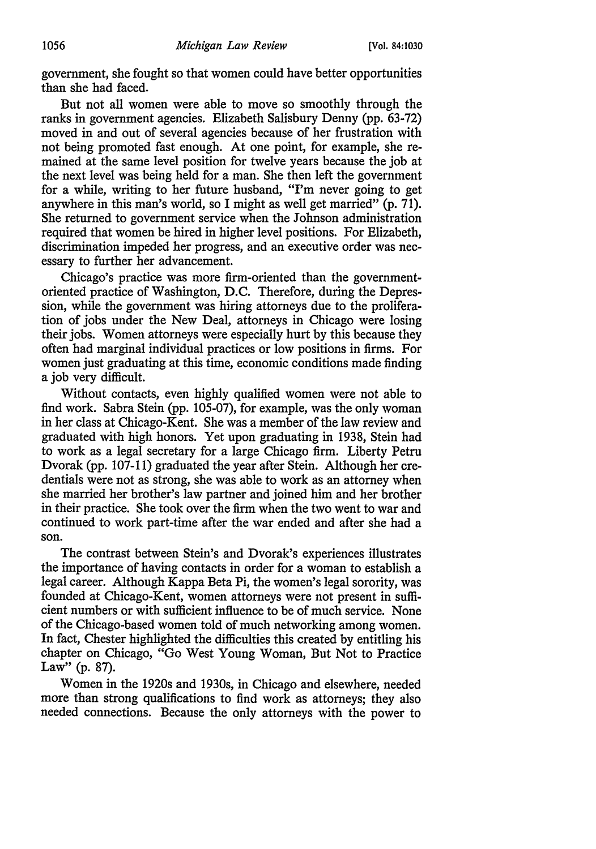government, she fought so that women could have better opportunities than she had faced.

But not all women were able to move so smoothly through the ranks in government agencies. Elizabeth Salisbury Denny (pp. 63-72) moved in and out of several agencies because of her frustration with not being promoted fast enough. At one point, for example, she remained at the same level position for twelve years because the job at the next level was being held for a man. She then left the government for a while, writing to her future husband, "I'm never going to get anywhere in this man's world, so I might as well get married" (p. 71). She returned to government service when the Johnson administration required that women be hired in higher level positions. For Elizabeth, discrimination impeded her progress, and an executive order was necessary to further her advancement.

Chicago's practice was more firm-oriented than the governmentoriented practice of Washington, D.C. Therefore, during the Depression, while the government was hiring attorneys due to the proliferation of jobs under the New Deal, attorneys in Chicago were losing their jobs. Women attorneys were especially hurt by this because they often had marginal individual practices or low positions in firms. For women just graduating at this time, economic conditions made finding a job very difficult.

Without contacts, even highly qualified women were not able to find work. Sabra Stein (pp. 105-07), for example, was the only woman in her class at Chicago-Kent. She was a member of the law review and graduated with high honors. Yet upon graduating in 1938, Stein had to work as a legal secretary for a large Chicago firm. Liberty Petru Dvorak (pp. 107-11) graduated the year after Stein. Although her credentials were not as strong, she was able to work as an attorney when she married her brother's law partner and joined him and her brother in their practice. She took over the firm when the two went to war and continued to work part-time after the war ended and after she had a son.

The contrast between Stein's and Dvorak's experiences illustrates the importance of having contacts in order for a woman to establish a legal career. Although Kappa Beta Pi, the women's legal sorority, was founded at Chicago-Kent, women attorneys were not present in sufficient numbers or with sufficient influence to be of much service. None of the Chicago-based women told of much networking among women. In fact, Chester highlighted the difficulties this created by entitling his chapter on Chicago, "Go West Young Woman, But Not to Practice Law" (p. 87).

Women in the 1920s and 1930s, in Chicago and elsewhere, needed more than strong qualifications to find work as attorneys; they also needed connections. Because the only attorneys with the power to